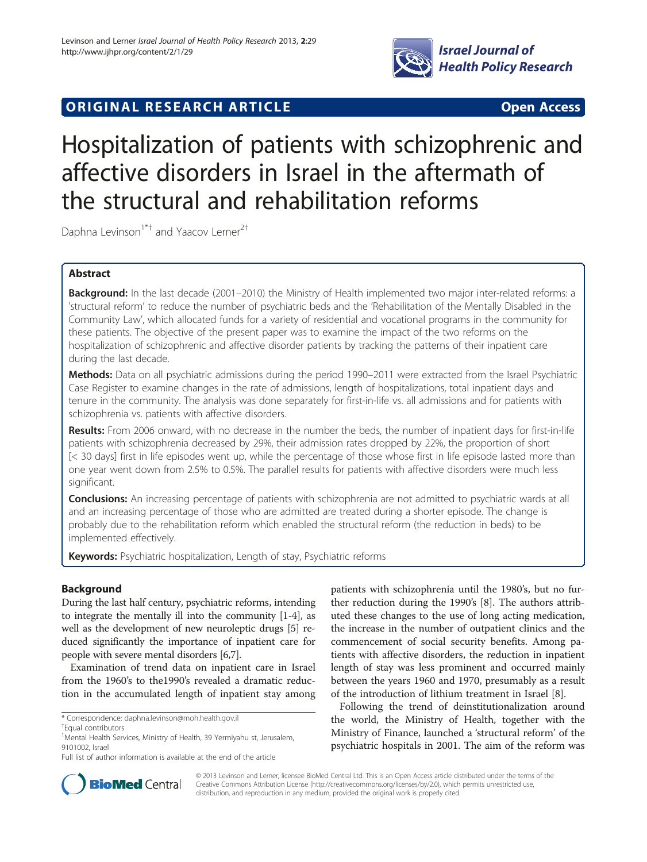

# **ORIGINAL RESEARCH ARTICLE CONSUMING ACCESS**

# Hospitalization of patients with schizophrenic and affective disorders in Israel in the aftermath of the structural and rehabilitation reforms

Daphna Levinson<sup>1\*†</sup> and Yaacov Lerner<sup>2†</sup>

# Abstract

Background: In the last decade (2001–2010) the Ministry of Health implemented two major inter-related reforms: a 'structural reform' to reduce the number of psychiatric beds and the 'Rehabilitation of the Mentally Disabled in the Community Law', which allocated funds for a variety of residential and vocational programs in the community for these patients. The objective of the present paper was to examine the impact of the two reforms on the hospitalization of schizophrenic and affective disorder patients by tracking the patterns of their inpatient care during the last decade.

Methods: Data on all psychiatric admissions during the period 1990–2011 were extracted from the Israel Psychiatric Case Register to examine changes in the rate of admissions, length of hospitalizations, total inpatient days and tenure in the community. The analysis was done separately for first-in-life vs. all admissions and for patients with schizophrenia vs. patients with affective disorders.

Results: From 2006 onward, with no decrease in the number the beds, the number of inpatient days for first-in-life patients with schizophrenia decreased by 29%, their admission rates dropped by 22%, the proportion of short [< 30 days] first in life episodes went up, while the percentage of those whose first in life episode lasted more than one year went down from 2.5% to 0.5%. The parallel results for patients with affective disorders were much less significant.

Conclusions: An increasing percentage of patients with schizophrenia are not admitted to psychiatric wards at all and an increasing percentage of those who are admitted are treated during a shorter episode. The change is probably due to the rehabilitation reform which enabled the structural reform (the reduction in beds) to be implemented effectively.

Keywords: Psychiatric hospitalization, Length of stay, Psychiatric reforms

# **Background**

During the last half century, psychiatric reforms, intending to integrate the mentally ill into the community [[1](#page-7-0)-[4\]](#page-7-0), as well as the development of new neuroleptic drugs [[5](#page-7-0)] reduced significantly the importance of inpatient care for people with severe mental disorders [[6,7](#page-7-0)].

Examination of trend data on inpatient care in Israel from the 1960's to the1990's revealed a dramatic reduction in the accumulated length of inpatient stay among

patients with schizophrenia until the 1980's, but no further reduction during the 1990's [\[8](#page-7-0)]. The authors attributed these changes to the use of long acting medication, the increase in the number of outpatient clinics and the commencement of social security benefits. Among patients with affective disorders, the reduction in inpatient length of stay was less prominent and occurred mainly between the years 1960 and 1970, presumably as a result of the introduction of lithium treatment in Israel [\[8\]](#page-7-0).

Following the trend of deinstitutionalization around the world, the Ministry of Health, together with the Ministry of Finance, launched a 'structural reform' of the psychiatric hospitals in 2001. The aim of the reform was



© 2013 Levinson and Lerner; licensee BioMed Central Ltd. This is an Open Access article distributed under the terms of the Creative Commons Attribution License (<http://creativecommons.org/licenses/by/2.0>), which permits unrestricted use, distribution, and reproduction in any medium, provided the original work is properly cited.

<sup>\*</sup> Correspondence: [daphna.levinson@moh.health.gov.il](mailto:daphna.levinson@moh.health.gov.il) †

Equal contributors

<sup>&</sup>lt;sup>1</sup> Mental Health Services, Ministry of Health, 39 Yermiyahu st, Jerusalem, 9101002, Israel

Full list of author information is available at the end of the article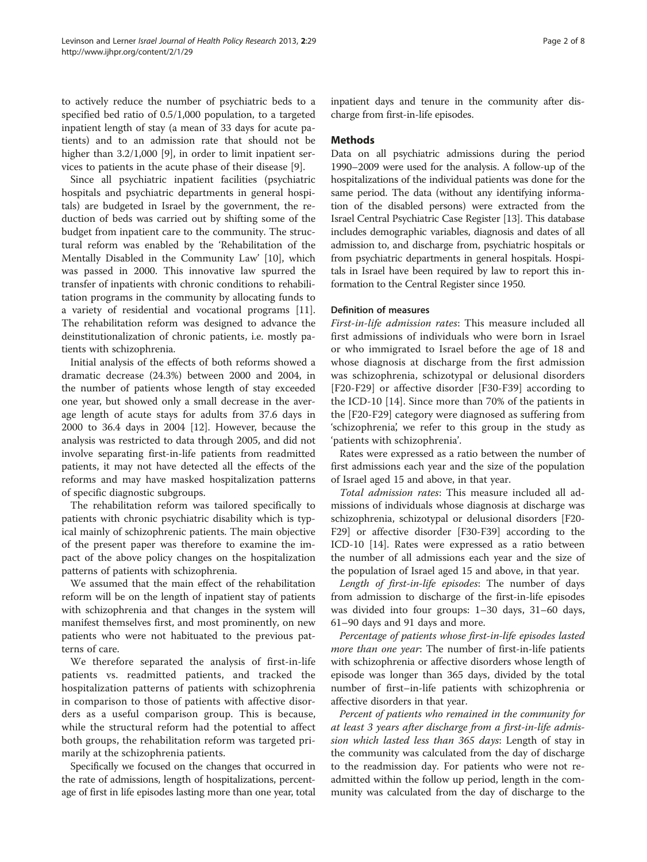to actively reduce the number of psychiatric beds to a specified bed ratio of 0.5/1,000 population, to a targeted inpatient length of stay (a mean of 33 days for acute patients) and to an admission rate that should not be higher than 3.2/1,000 [\[9](#page-7-0)], in order to limit inpatient services to patients in the acute phase of their disease [[9\]](#page-7-0).

Since all psychiatric inpatient facilities (psychiatric hospitals and psychiatric departments in general hospitals) are budgeted in Israel by the government, the reduction of beds was carried out by shifting some of the budget from inpatient care to the community. The structural reform was enabled by the 'Rehabilitation of the Mentally Disabled in the Community Law' [[10](#page-7-0)], which was passed in 2000. This innovative law spurred the transfer of inpatients with chronic conditions to rehabilitation programs in the community by allocating funds to a variety of residential and vocational programs [\[11](#page-7-0)]. The rehabilitation reform was designed to advance the deinstitutionalization of chronic patients, i.e. mostly patients with schizophrenia.

Initial analysis of the effects of both reforms showed a dramatic decrease (24.3%) between 2000 and 2004, in the number of patients whose length of stay exceeded one year, but showed only a small decrease in the average length of acute stays for adults from 37.6 days in 2000 to 36.4 days in 2004 [\[12](#page-7-0)]. However, because the analysis was restricted to data through 2005, and did not involve separating first-in-life patients from readmitted patients, it may not have detected all the effects of the reforms and may have masked hospitalization patterns of specific diagnostic subgroups.

The rehabilitation reform was tailored specifically to patients with chronic psychiatric disability which is typical mainly of schizophrenic patients. The main objective of the present paper was therefore to examine the impact of the above policy changes on the hospitalization patterns of patients with schizophrenia.

We assumed that the main effect of the rehabilitation reform will be on the length of inpatient stay of patients with schizophrenia and that changes in the system will manifest themselves first, and most prominently, on new patients who were not habituated to the previous patterns of care.

We therefore separated the analysis of first-in-life patients vs. readmitted patients, and tracked the hospitalization patterns of patients with schizophrenia in comparison to those of patients with affective disorders as a useful comparison group. This is because, while the structural reform had the potential to affect both groups, the rehabilitation reform was targeted primarily at the schizophrenia patients.

Specifically we focused on the changes that occurred in the rate of admissions, length of hospitalizations, percentage of first in life episodes lasting more than one year, total inpatient days and tenure in the community after discharge from first-in-life episodes.

# Methods

Data on all psychiatric admissions during the period 1990–2009 were used for the analysis. A follow-up of the hospitalizations of the individual patients was done for the same period. The data (without any identifying information of the disabled persons) were extracted from the Israel Central Psychiatric Case Register [\[13\]](#page-7-0). This database includes demographic variables, diagnosis and dates of all admission to, and discharge from, psychiatric hospitals or from psychiatric departments in general hospitals. Hospitals in Israel have been required by law to report this information to the Central Register since 1950.

## Definition of measures

First-in-life admission rates: This measure included all first admissions of individuals who were born in Israel or who immigrated to Israel before the age of 18 and whose diagnosis at discharge from the first admission was schizophrenia, schizotypal or delusional disorders [F20-F29] or affective disorder [F30-F39] according to the ICD-10 [[14\]](#page-7-0). Since more than 70% of the patients in the [F20-F29] category were diagnosed as suffering from 'schizophrenia', we refer to this group in the study as 'patients with schizophrenia'.

Rates were expressed as a ratio between the number of first admissions each year and the size of the population of Israel aged 15 and above, in that year.

Total admission rates: This measure included all admissions of individuals whose diagnosis at discharge was schizophrenia, schizotypal or delusional disorders [F20- F29] or affective disorder [F30-F39] according to the ICD-10 [\[14](#page-7-0)]. Rates were expressed as a ratio between the number of all admissions each year and the size of the population of Israel aged 15 and above, in that year.

Length of first-in-life episodes: The number of days from admission to discharge of the first-in-life episodes was divided into four groups: 1–30 days, 31–60 days, 61–90 days and 91 days and more.

Percentage of patients whose first-in-life episodes lasted more than one year: The number of first-in-life patients with schizophrenia or affective disorders whose length of episode was longer than 365 days, divided by the total number of first–in-life patients with schizophrenia or affective disorders in that year.

Percent of patients who remained in the community for at least 3 years after discharge from a first-in-life admission which lasted less than 365 days: Length of stay in the community was calculated from the day of discharge to the readmission day. For patients who were not readmitted within the follow up period, length in the community was calculated from the day of discharge to the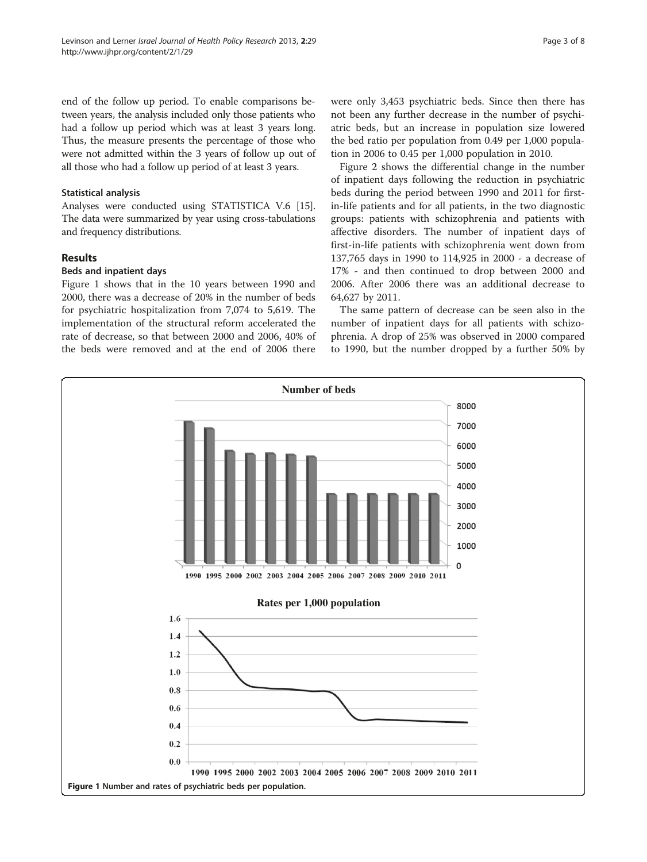end of the follow up period. To enable comparisons between years, the analysis included only those patients who had a follow up period which was at least 3 years long. Thus, the measure presents the percentage of those who were not admitted within the 3 years of follow up out of all those who had a follow up period of at least 3 years.

# Statistical analysis

Analyses were conducted using STATISTICA V.6 [[15](#page-7-0)]. The data were summarized by year using cross-tabulations and frequency distributions.

# Results

# Beds and inpatient days

Figure 1 shows that in the 10 years between 1990 and 2000, there was a decrease of 20% in the number of beds for psychiatric hospitalization from 7,074 to 5,619. The implementation of the structural reform accelerated the rate of decrease, so that between 2000 and 2006, 40% of the beds were removed and at the end of 2006 there were only 3,453 psychiatric beds. Since then there has not been any further decrease in the number of psychiatric beds, but an increase in population size lowered the bed ratio per population from 0.49 per 1,000 population in 2006 to 0.45 per 1,000 population in 2010.

Figure [2](#page-3-0) shows the differential change in the number of inpatient days following the reduction in psychiatric beds during the period between 1990 and 2011 for firstin-life patients and for all patients, in the two diagnostic groups: patients with schizophrenia and patients with affective disorders. The number of inpatient days of first-in-life patients with schizophrenia went down from 137,765 days in 1990 to 114,925 in 2000 - a decrease of 17% - and then continued to drop between 2000 and 2006. After 2006 there was an additional decrease to 64,627 by 2011.

The same pattern of decrease can be seen also in the number of inpatient days for all patients with schizophrenia. A drop of 25% was observed in 2000 compared to 1990, but the number dropped by a further 50% by

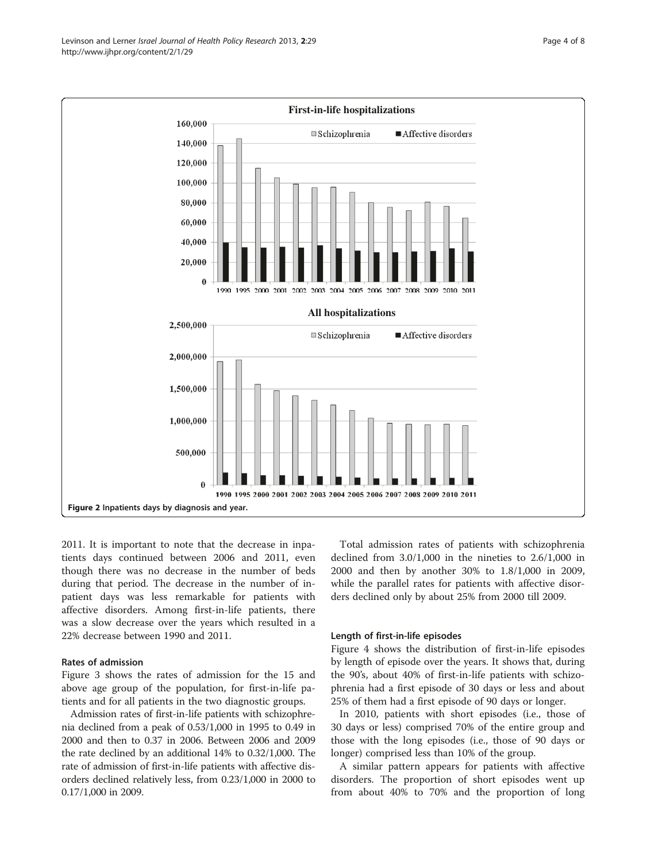<span id="page-3-0"></span>

2011. It is important to note that the decrease in inpatients days continued between 2006 and 2011, even though there was no decrease in the number of beds during that period. The decrease in the number of inpatient days was less remarkable for patients with affective disorders. Among first-in-life patients, there was a slow decrease over the years which resulted in a 22% decrease between 1990 and 2011.

# Rates of admission

Figure [3](#page-4-0) shows the rates of admission for the 15 and above age group of the population, for first-in-life patients and for all patients in the two diagnostic groups.

Admission rates of first-in-life patients with schizophrenia declined from a peak of 0.53/1,000 in 1995 to 0.49 in 2000 and then to 0.37 in 2006. Between 2006 and 2009 the rate declined by an additional 14% to 0.32/1,000. The rate of admission of first-in-life patients with affective disorders declined relatively less, from 0.23/1,000 in 2000 to 0.17/1,000 in 2009.

Total admission rates of patients with schizophrenia declined from 3.0/1,000 in the nineties to 2.6/1,000 in 2000 and then by another 30% to 1.8/1,000 in 2009, while the parallel rates for patients with affective disorders declined only by about 25% from 2000 till 2009.

## Length of first-in-life episodes

Figure [4](#page-5-0) shows the distribution of first-in-life episodes by length of episode over the years. It shows that, during the 90's, about 40% of first-in-life patients with schizophrenia had a first episode of 30 days or less and about 25% of them had a first episode of 90 days or longer.

In 2010, patients with short episodes (i.e., those of 30 days or less) comprised 70% of the entire group and those with the long episodes (i.e., those of 90 days or longer) comprised less than 10% of the group.

A similar pattern appears for patients with affective disorders. The proportion of short episodes went up from about 40% to 70% and the proportion of long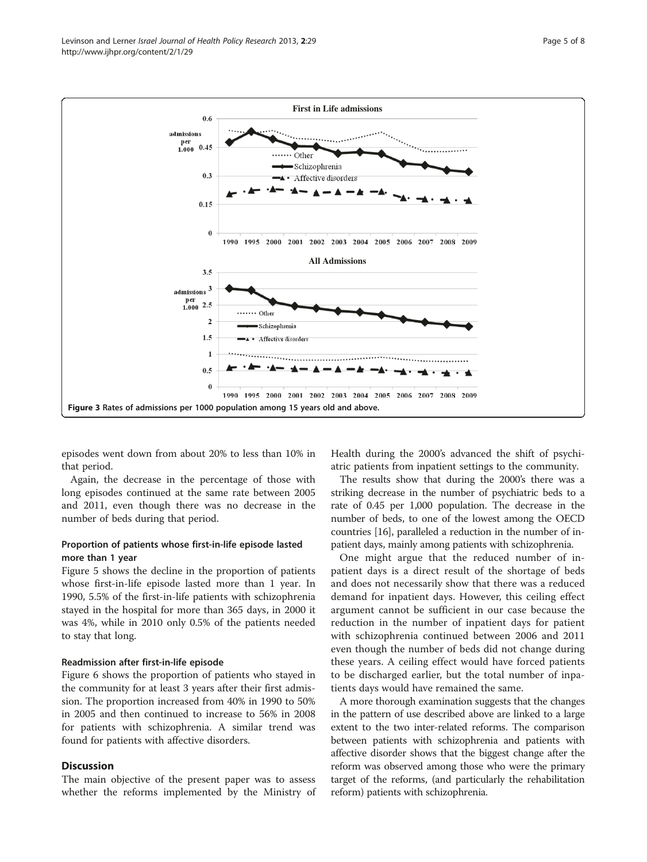episodes went down from about 20% to less than 10% in that period.

Again, the decrease in the percentage of those with long episodes continued at the same rate between 2005 and 2011, even though there was no decrease in the number of beds during that period.

# Proportion of patients whose first-in-life episode lasted more than 1 year

Figure [5](#page-5-0) shows the decline in the proportion of patients whose first-in-life episode lasted more than 1 year. In 1990, 5.5% of the first-in-life patients with schizophrenia stayed in the hospital for more than 365 days, in 2000 it was 4%, while in 2010 only 0.5% of the patients needed to stay that long.

#### Readmission after first-in-life episode

Figure [6](#page-5-0) shows the proportion of patients who stayed in the community for at least 3 years after their first admission. The proportion increased from 40% in 1990 to 50% in 2005 and then continued to increase to 56% in 2008 for patients with schizophrenia. A similar trend was found for patients with affective disorders.

# **Discussion**

The main objective of the present paper was to assess whether the reforms implemented by the Ministry of Health during the 2000's advanced the shift of psychiatric patients from inpatient settings to the community.

The results show that during the 2000's there was a striking decrease in the number of psychiatric beds to a rate of 0.45 per 1,000 population. The decrease in the number of beds, to one of the lowest among the OECD countries [[16](#page-7-0)], paralleled a reduction in the number of inpatient days, mainly among patients with schizophrenia.

One might argue that the reduced number of inpatient days is a direct result of the shortage of beds and does not necessarily show that there was a reduced demand for inpatient days. However, this ceiling effect argument cannot be sufficient in our case because the reduction in the number of inpatient days for patient with schizophrenia continued between 2006 and 2011 even though the number of beds did not change during these years. A ceiling effect would have forced patients to be discharged earlier, but the total number of inpatients days would have remained the same.

A more thorough examination suggests that the changes in the pattern of use described above are linked to a large extent to the two inter-related reforms. The comparison between patients with schizophrenia and patients with affective disorder shows that the biggest change after the reform was observed among those who were the primary target of the reforms, (and particularly the rehabilitation reform) patients with schizophrenia.

<span id="page-4-0"></span>

**First in Life admissions**

 $0.6$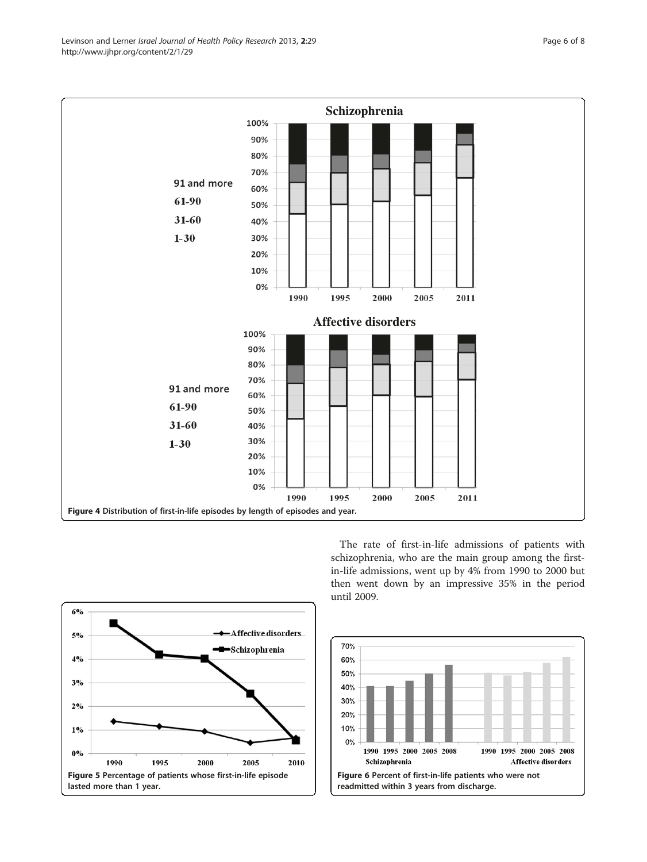<span id="page-5-0"></span>



The rate of first-in-life admissions of patients with schizophrenia, who are the main group among the firstin-life admissions, went up by 4% from 1990 to 2000 but then went down by an impressive 35% in the period until 2009.

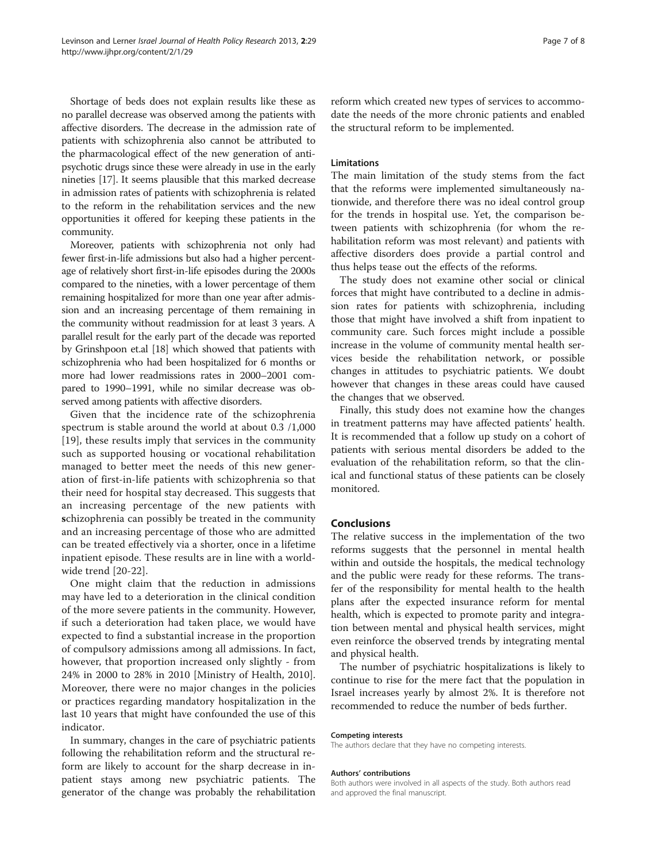Shortage of beds does not explain results like these as no parallel decrease was observed among the patients with affective disorders. The decrease in the admission rate of patients with schizophrenia also cannot be attributed to the pharmacological effect of the new generation of antipsychotic drugs since these were already in use in the early nineties [[17](#page-7-0)]. It seems plausible that this marked decrease in admission rates of patients with schizophrenia is related to the reform in the rehabilitation services and the new opportunities it offered for keeping these patients in the community.

Moreover, patients with schizophrenia not only had fewer first-in-life admissions but also had a higher percentage of relatively short first-in-life episodes during the 2000s compared to the nineties, with a lower percentage of them remaining hospitalized for more than one year after admission and an increasing percentage of them remaining in the community without readmission for at least 3 years. A parallel result for the early part of the decade was reported by Grinshpoon et.al [\[18](#page-7-0)] which showed that patients with schizophrenia who had been hospitalized for 6 months or more had lower readmissions rates in 2000–2001 compared to 1990–1991, while no similar decrease was observed among patients with affective disorders.

Given that the incidence rate of the schizophrenia spectrum is stable around the world at about 0.3 /1,000 [[19\]](#page-7-0), these results imply that services in the community such as supported housing or vocational rehabilitation managed to better meet the needs of this new generation of first-in-life patients with schizophrenia so that their need for hospital stay decreased. This suggests that an increasing percentage of the new patients with schizophrenia can possibly be treated in the community and an increasing percentage of those who are admitted can be treated effectively via a shorter, once in a lifetime inpatient episode. These results are in line with a worldwide trend [[20](#page-7-0)-[22\]](#page-7-0).

One might claim that the reduction in admissions may have led to a deterioration in the clinical condition of the more severe patients in the community. However, if such a deterioration had taken place, we would have expected to find a substantial increase in the proportion of compulsory admissions among all admissions. In fact, however, that proportion increased only slightly - from 24% in 2000 to 28% in 2010 [Ministry of Health, 2010]. Moreover, there were no major changes in the policies or practices regarding mandatory hospitalization in the last 10 years that might have confounded the use of this indicator.

In summary, changes in the care of psychiatric patients following the rehabilitation reform and the structural reform are likely to account for the sharp decrease in inpatient stays among new psychiatric patients. The generator of the change was probably the rehabilitation reform which created new types of services to accommodate the needs of the more chronic patients and enabled the structural reform to be implemented.

# Limitations

The main limitation of the study stems from the fact that the reforms were implemented simultaneously nationwide, and therefore there was no ideal control group for the trends in hospital use. Yet, the comparison between patients with schizophrenia (for whom the rehabilitation reform was most relevant) and patients with affective disorders does provide a partial control and thus helps tease out the effects of the reforms.

The study does not examine other social or clinical forces that might have contributed to a decline in admission rates for patients with schizophrenia, including those that might have involved a shift from inpatient to community care. Such forces might include a possible increase in the volume of community mental health services beside the rehabilitation network, or possible changes in attitudes to psychiatric patients. We doubt however that changes in these areas could have caused the changes that we observed.

Finally, this study does not examine how the changes in treatment patterns may have affected patients' health. It is recommended that a follow up study on a cohort of patients with serious mental disorders be added to the evaluation of the rehabilitation reform, so that the clinical and functional status of these patients can be closely monitored.

# Conclusions

The relative success in the implementation of the two reforms suggests that the personnel in mental health within and outside the hospitals, the medical technology and the public were ready for these reforms. The transfer of the responsibility for mental health to the health plans after the expected insurance reform for mental health, which is expected to promote parity and integration between mental and physical health services, might even reinforce the observed trends by integrating mental and physical health.

The number of psychiatric hospitalizations is likely to continue to rise for the mere fact that the population in Israel increases yearly by almost 2%. It is therefore not recommended to reduce the number of beds further.

#### Competing interests

The authors declare that they have no competing interests.

#### Authors' contributions

Both authors were involved in all aspects of the study. Both authors read and approved the final manuscript.